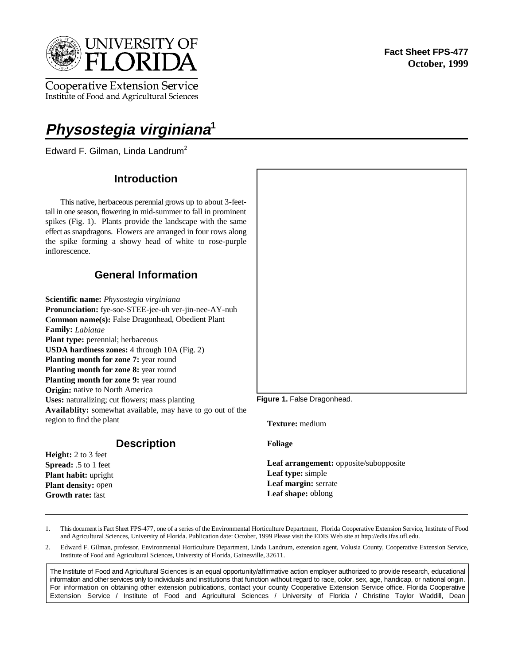

**Cooperative Extension Service** Institute of Food and Agricultural Sciences

# **Physostegia virginiana<sup>1</sup>**

Edward F. Gilman, Linda Landrum<sup>2</sup>

# **Introduction**

This native, herbaceous perennial grows up to about 3-feettall in one season, flowering in mid-summer to fall in prominent spikes (Fig. 1). Plants provide the landscape with the same effect as snapdragons. Flowers are arranged in four rows along the spike forming a showy head of white to rose-purple inflorescence.

# **General Information**

**Scientific name:** *Physostegia virginiana* **Pronunciation:** fye-soe-STEE-jee-uh ver-jin-nee-AY-nuh **Common name(s):** False Dragonhead, Obedient Plant **Family:** *Labiatae* **Plant type:** perennial; herbaceous **USDA hardiness zones:** 4 through 10A (Fig. 2) **Planting month for zone 7:** year round **Planting month for zone 8:** year round **Planting month for zone 9:** year round **Origin:** native to North America **Uses:** naturalizing; cut flowers; mass planting **Availablity:** somewhat available, may have to go out of the region to find the plant

**Description**

**Height:** 2 to 3 feet **Spread:** .5 to 1 feet **Plant habit:** upright **Plant density:** open **Growth rate:** fast

#### Figure 1. False Dragonhead.

**Texture:** medium

**Foliage** 

**Leaf arrangement:** opposite/subopposite **Leaf type:** simple **Leaf margin:** serrate **Leaf shape:** oblong

- 1. This document is Fact Sheet FPS-477, one of a series of the Environmental Horticulture Department, Florida Cooperative Extension Service, Institute of Food and Agricultural Sciences, University of Florida. Publication date: October, 1999 Please visit the EDIS Web site at http://edis.ifas.ufl.edu.
- 2. Edward F. Gilman, professor, Environmental Horticulture Department, Linda Landrum, extension agent, Volusia County, Cooperative Extension Service, Institute of Food and Agricultural Sciences, University of Florida, Gainesville, 32611.

The Institute of Food and Agricultural Sciences is an equal opportunity/affirmative action employer authorized to provide research, educational information and other services only to individuals and institutions that function without regard to race, color, sex, age, handicap, or national origin. For information on obtaining other extension publications, contact your county Cooperative Extension Service office. Florida Cooperative Extension Service / Institute of Food and Agricultural Sciences / University of Florida / Christine Taylor Waddill, Dean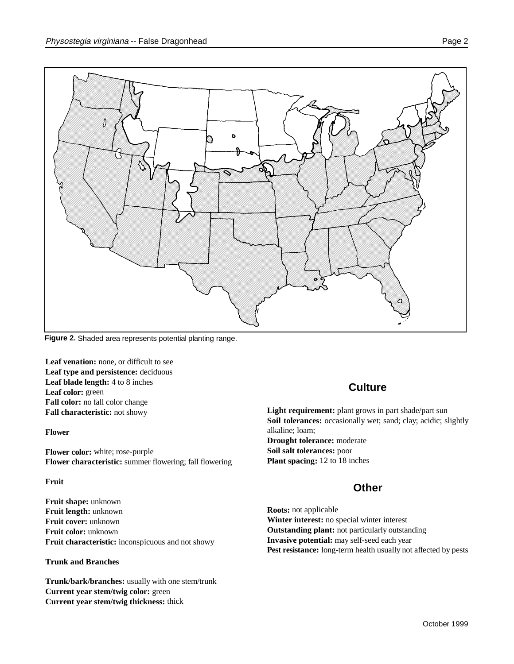

**Figure 2.** Shaded area represents potential planting range.

Leaf venation: none, or difficult to see **Leaf type and persistence:** deciduous **Leaf blade length:** 4 to 8 inches **Leaf color:** green **Fall color:** no fall color change **Fall characteristic:** not showy

**Flower**

**Flower color:** white; rose-purple **Flower characteristic:** summer flowering; fall flowering

#### **Fruit**

**Fruit shape:** unknown **Fruit length:** unknown **Fruit cover:** unknown **Fruit color:** unknown **Fruit characteristic:** inconspicuous and not showy

#### **Trunk and Branches**

**Trunk/bark/branches:** usually with one stem/trunk **Current year stem/twig color:** green **Current year stem/twig thickness:** thick

# **Culture**

Light requirement: plant grows in part shade/part sun Soil tolerances: occasionally wet; sand; clay; acidic; slightly alkaline; loam; **Drought tolerance:** moderate

**Soil salt tolerances:** poor **Plant spacing:** 12 to 18 inches

## **Other**

**Roots:** not applicable **Winter interest:** no special winter interest **Outstanding plant:** not particularly outstanding **Invasive potential:** may self-seed each year Pest resistance: long-term health usually not affected by pests